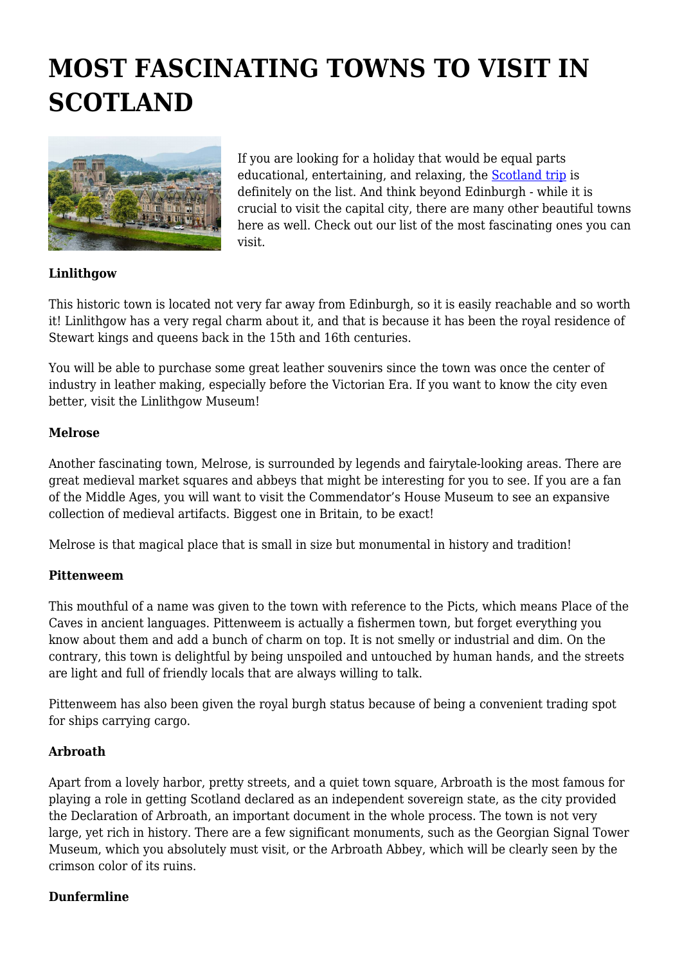# **MOST FASCINATING TOWNS TO VISIT IN SCOTLAND**



If you are looking for a holiday that would be equal parts educational, entertaining, and relaxing, the [Scotland trip](https://triptile.com/scotland) is definitely on the list. And think beyond Edinburgh - while it is crucial to visit the capital city, there are many other beautiful towns here as well. Check out our list of the most fascinating ones you can visit.

## **Linlithgow**

This historic town is located not very far away from Edinburgh, so it is easily reachable and so worth it! Linlithgow has a very regal charm about it, and that is because it has been the royal residence of Stewart kings and queens back in the 15th and 16th centuries.

You will be able to purchase some great leather souvenirs since the town was once the center of industry in leather making, especially before the Victorian Era. If you want to know the city even better, visit the Linlithgow Museum!

#### **Melrose**

Another fascinating town, Melrose, is surrounded by legends and fairytale-looking areas. There are great medieval market squares and abbeys that might be interesting for you to see. If you are a fan of the Middle Ages, you will want to visit the Commendator's House Museum to see an expansive collection of medieval artifacts. Biggest one in Britain, to be exact!

Melrose is that magical place that is small in size but monumental in history and tradition!

#### **Pittenweem**

This mouthful of a name was given to the town with reference to the Picts, which means Place of the Caves in ancient languages. Pittenweem is actually a fishermen town, but forget everything you know about them and add a bunch of charm on top. It is not smelly or industrial and dim. On the contrary, this town is delightful by being unspoiled and untouched by human hands, and the streets are light and full of friendly locals that are always willing to talk.

Pittenweem has also been given the royal burgh status because of being a convenient trading spot for ships carrying cargo.

### **Arbroath**

Apart from a lovely harbor, pretty streets, and a quiet town square, Arbroath is the most famous for playing a role in getting Scotland declared as an independent sovereign state, as the city provided the Declaration of Arbroath, an important document in the whole process. The town is not very large, yet rich in history. There are a few significant monuments, such as the Georgian Signal Tower Museum, which you absolutely must visit, or the Arbroath Abbey, which will be clearly seen by the crimson color of its ruins.

#### **Dunfermline**